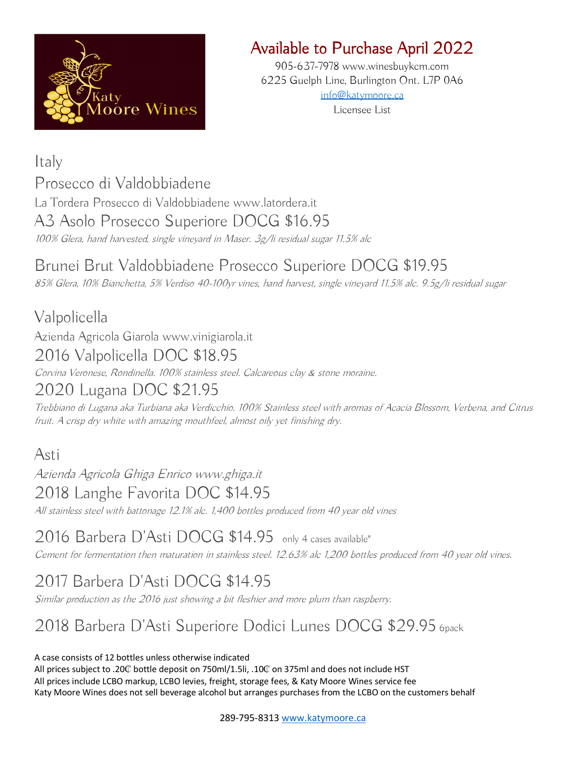

# Available to Purchase April 2022 905-637-7978 www.winesbuykcm.com

6225 Guelph Line, Burlington Ont. L7P 0A6 [info@katymoore.ca](mailto:info@katymoore.ca)

Licensee List

Italy

Prosecco di Valdobbiadene

La Tordera Prosecco di Valdobbiadene www.latordera.it

#### A3 Asolo Prosecco Superiore DOCG \$16.95

100% Glera, hand harvested, single vineyard in Maser. 3g/li residual sugar 11.5% alc

## Brunei Brut Valdobbiadene Prosecco Superiore DOCG \$19.95

85% Glera, 10% Bianchetta, 5% Verdiso 40-100yr vines, hand harvest, single vineyard 11.5% alc. 9.5g/li residual sugar

## Valpolicella

Azienda Agricola Giarola [www.vinigiarola.it](http://www.vinigiarola.it/)

### 2016 Valpolicella DOC \$18.95

Corvina Veronese, Rondinella. 100% stainless steel. Calcareous clay & stone moraine.

#### 2020 Lugana DOC \$21.95

Trebbiano di Lugana aka Turbiana aka Verdicchio. 100% Stainless steel with aromas of Acacia Blossom, Verbena, and Citrus fruit. A crisp dry white with amazing mouthfeel, almost oily yet finishing dry.

#### Asti

Azienda Agricola Ghiga Enrico www.ghiga.it 2018 Langhe Favorita DOC \$14.95 All stainless steel with battonage 12.1% alc. 1,400 bottles produced from 40 year old vines

## 2016 Barbera D'Asti DOCG \$14.95 only 4 cases available\*

Cement for fermentation then maturation in stainless steel. 12.63% alc 1,200 bottles produced from 40 year old vines.

## 2017 Barbera D'Asti DOCG \$14.95

Similar production as the 2016 just showing a bit fleshier and more plum than raspberry.

## 2018 Barbera D'Asti Superiore Dodici Lunes DOCG \$29.95 6pack

#### A case consists of 12 bottles unless otherwise indicated

All prices subject to .20₵ bottle deposit on 750ml/1.5li, .10₵ on 375ml and does not include HST All prices include LCBO markup, LCBO levies, freight, storage fees, & Katy Moore Wines service fee Katy Moore Wines does not sell beverage alcohol but arranges purchases from the LCBO on the customers behalf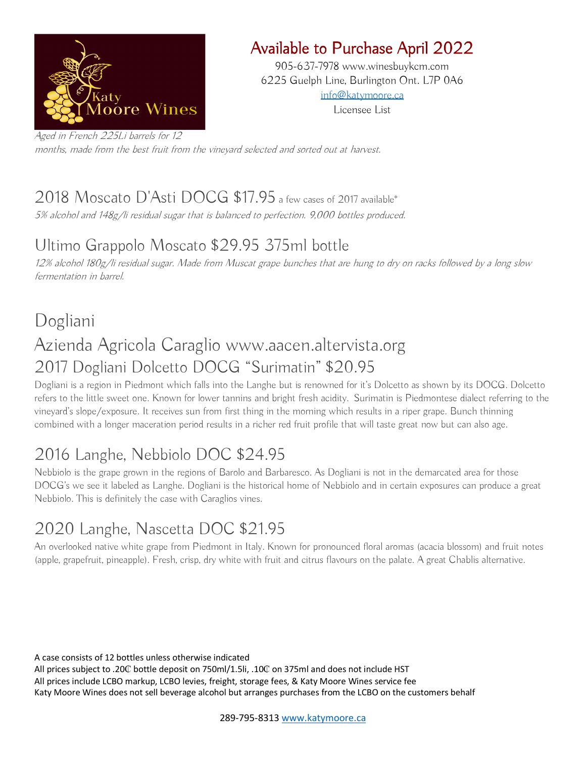

# Available to Purchase April 2022 905-637-7978 www.winesbuykcm.com

6225 Guelph Line, Burlington Ont. L7P 0A6

[info@katymoore.ca](mailto:info@katymoore.ca) Licensee List

Aged in French 225Li barrels for 12 months, made from the best fruit from the vineyard selected and sorted out at harvest.

#### 2018 Moscato D'Asti DOCG \$17.95 a few cases of 2017 available\*

5% alcohol and 148g/li residual sugar that is balanced to perfection. 9,000 bottles produced.

#### Ultimo Grappolo Moscato \$29.95 375ml bottle

12% alcohol 180g/li residual sugar. Made from Muscat grape bunches that are hung to dry on racks followed by a long slow fermentation in barrel.

### Dogliani Azienda Agricola Caraglio www.aacen.altervista.org 2017 Dogliani Dolcetto DOCG "Surimatin" \$20.95

Dogliani is a region in Piedmont which falls into the Langhe but is renowned for it's Dolcetto as shown by its DOCG. Dolcetto refers to the little sweet one. Known for lower tannins and bright fresh acidity. Surimatin is Piedmontese dialect referring to the vineyard's slope/exposure. It receives sun from first thing in the morning which results in a riper grape. Bunch thinning combined with a longer maceration period results in a richer red fruit profile that will taste great now but can also age.

## 2016 Langhe, Nebbiolo DOC \$24.95

Nebbiolo is the grape grown in the regions of Barolo and Barbaresco. As Dogliani is not in the demarcated area for those DOCG's we see it labeled as Langhe. Dogliani is the historical home of Nebbiolo and in certain exposures can produce a great Nebbiolo. This is definitely the case with Caraglios vines.

#### 2020 Langhe, Nascetta DOC \$21.95

An overlooked native white grape from Piedmont in Italy. Known for pronounced floral aromas (acacia blossom) and fruit notes (apple, grapefruit, pineapple). Fresh, crisp, dry white with fruit and citrus flavours on the palate. A great Chablis alternative.

A case consists of 12 bottles unless otherwise indicated

All prices subject to .20₵ bottle deposit on 750ml/1.5li, .10₵ on 375ml and does not include HST All prices include LCBO markup, LCBO levies, freight, storage fees, & Katy Moore Wines service fee Katy Moore Wines does not sell beverage alcohol but arranges purchases from the LCBO on the customers behalf